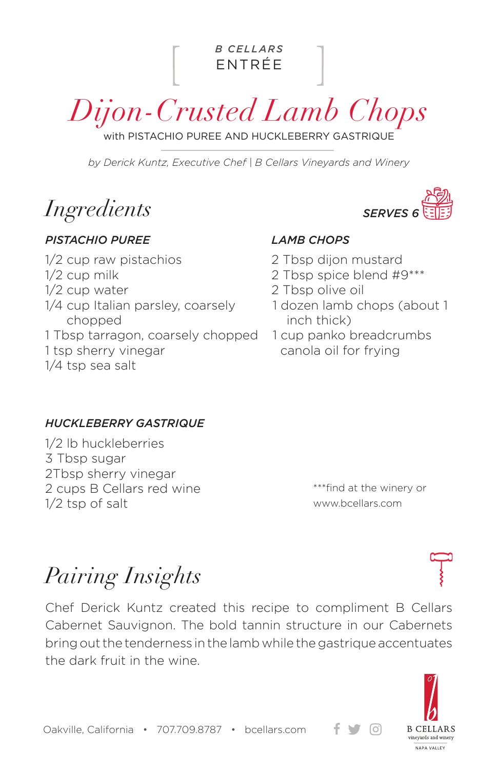ENTRÉE *B CELLARS*

*Dijon-Crusted Lamb Chops*

with PISTACHIO PUREE AND HUCKLEBERRY GASTRIQUE

*by Derick Kuntz, Executive Chef | B Cellars Vineyards and Winery*

*Ingredients*

#### *PISTACHIO PUREE LAMB CHOPS*

1/2 cup raw pistachios 1/2 cup milk 1/2 cup water 1/4 cup Italian parsley, coarsely chopped 1 Tbsp tarragon, coarsely chopped 1 tsp sherry vinegar 1/4 tsp sea salt



- 2 Tbsp dijon mustard
- 2 Tbsp spice blend #9\*\*\*
- 2 Tbsp olive oil
- 1 dozen lamb chops (about 1 inch thick)
- 1 cup panko breadcrumbs canola oil for frying

### *HUCKLEBERRY GASTRIQUE*

1/2 lb huckleberries 3 Tbsp sugar 2Tbsp sherry vinegar 2 cups B Cellars red wine 1/2 tsp of salt

\*\*\*find at the winery or www.bcellars.com

 $\lceil$ Oʻl

*Pairing Insights*

Chef Derick Kuntz created this recipe to compliment B Cellars Cabernet Sauvignon. The bold tannin structure in our Cabernets bring out the tenderness in the lamb while the gastrique accentuates the dark fruit in the wine.